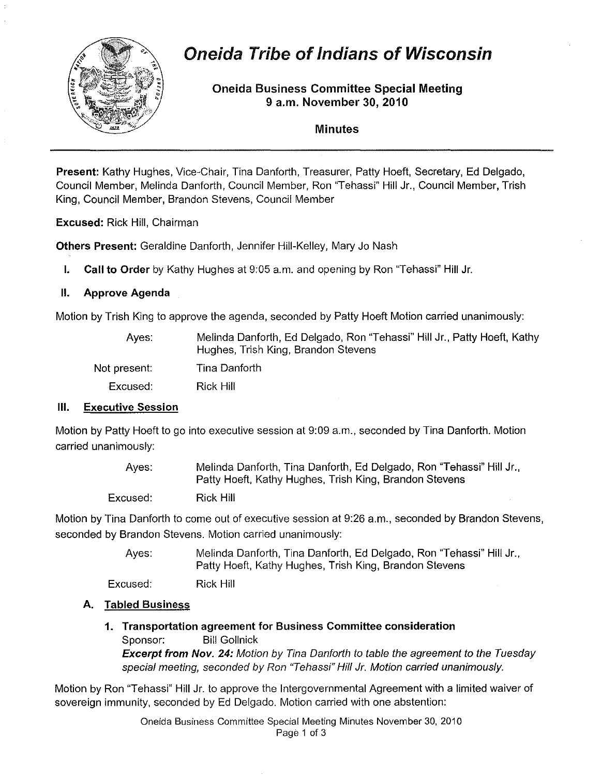

# **Oneida Tribe of Indians of Wisconsin**

## **Oneida Business Committee Special Meeting 9 a.m. November 30, 2010**

#### **Minutes**

**Present:** Kathy Hughes, Vice-Chair. Tina Danforth, Treasurer, Patty Hoeft, Secretary, Ed Delgado, Council Member, Melinda Danforth, Council Member, Ron "Tehassi" Hill Jr., Council Member, Trish King, Council Member, Brandon Stevens, Council Member

**Excused:** Rick Hill, Chairman

**Others Present:** Geraldine Danforth, Jennifer Hill-Kelley, Mary Jo Nash

**I. Call to Order** by Kathy Hughes at 9:05 a.m. and opening by Ron "Tehassi" Hill Jr.

## II. **Approve Agenda**

Motion by Trish King to approve the agenda, seconded by Patty Hoeft Motion carried unanimously:

| Aves:        | Melinda Danforth, Ed Delgado, Ron "Tehassi" Hill Jr., Patty Hoeft, Kathy<br>Hughes, Trish King, Brandon Stevens |
|--------------|-----------------------------------------------------------------------------------------------------------------|
| Not present: | Tina Danforth                                                                                                   |
| Excused:     | Rick Hill                                                                                                       |
|              |                                                                                                                 |

## **III. Executive Session**

Motion by Patty Hoeft to go into executive session at 9:09 a.m., seconded by Tina Danforth. Motion carried unanimously:

| Aves:    | Melinda Danforth, Tina Danforth, Ed Delgado, Ron "Tehassi" Hill Jr.,<br>Patty Hoeft, Kathy Hughes, Trish King, Brandon Stevens |  |
|----------|--------------------------------------------------------------------------------------------------------------------------------|--|
| Excused: | Rick Hill                                                                                                                      |  |

Motion by Tina Danforth to come out of executive session at 9:26 a.m., seconded by Brandon Stevens, seconded by Brandon Stevens. Motion carried unanimously:

> Ayes: Melinda Danforth, Tina Danforth, Ed Delgado, Ron "Tehassi" Hill Jr., Patty Hoeft, Kathy Hughes, Trish King, Brandon Stevens

Excused: Rick Hill

## **A. Tabled Business**

**1. Transportation agreement for Business Committee consideration**  Sponsor: Bill Gollnick **Excerpt from** Nov. **24:** Motion by Tina Oanforth to table the agreement to the Tuesday special meeting, seconded by Ron "Tehassi" Hill Jr. Motion carried unanimously.

Motion by Ron "Tehassi" Hill Jr. to approve the Intergovernmental Agreement with a limited waiver of sovereign immunity, seconded by Ed Delgado. Motion carried with one abstention:

> Oneida Business Committee Special Meeting Minutes November 30,2010 Page 1 of 3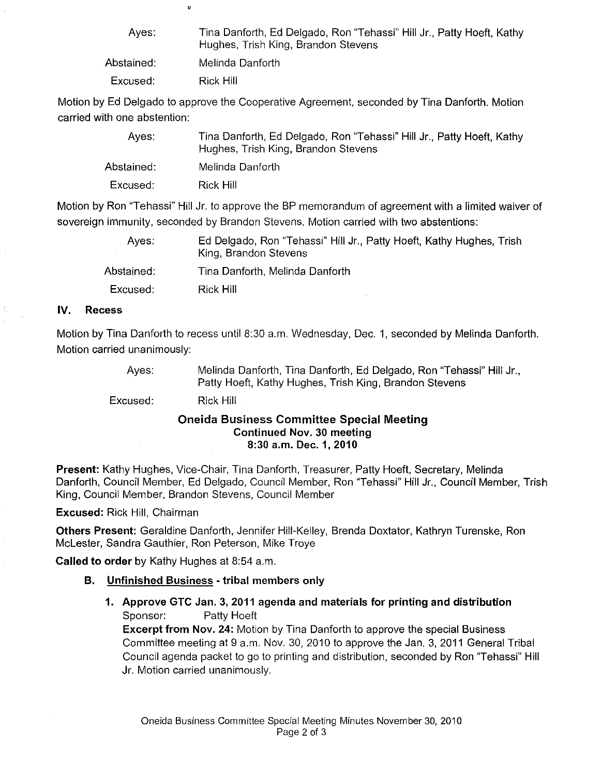| Aves:      | Tina Danforth, Ed Delgado, Ron "Tehassi" Hill Jr., Patty Hoeft, Kathy<br>Hughes, Trish King, Brandon Stevens |
|------------|--------------------------------------------------------------------------------------------------------------|
| Abstained: | Melinda Danforth                                                                                             |
| Excused:   | Rick Hill                                                                                                    |

Motion by Ed Delgado to approve the Cooperative Agreement, seconded by Tina Danforth. Motion carried with one abstention:

| Aves:      | Tina Danforth, Ed Delgado, Ron "Tehassi" Hill Jr., Patty Hoeft, Kathy<br>Hughes, Trish King, Brandon Stevens |
|------------|--------------------------------------------------------------------------------------------------------------|
| Abstained: | Melinda Danforth                                                                                             |
| Excused:   | Rick Hill                                                                                                    |

Motion by Ron "Tehassi" Hill Jr. to approve the BP memorandum of agreement with a limited waiver of sovereign immunity, seconded by Brandon Stevens. Motion carried with two abstentions:

| Aves:      | Ed Delgado, Ron "Tehassi" Hill Jr., Patty Hoeft, Kathy Hughes, Trish<br>King, Brandon Stevens |
|------------|-----------------------------------------------------------------------------------------------|
| Abstained: | Tina Danforth, Melinda Danforth                                                               |
| Excused:   | Rick Hill                                                                                     |

#### IV. Recess

Motion by Tina Danforth to recess until 8:30 a.m. Wednesday, Dec. 1, seconded by Melinda Danforth. Motion carried unanimously:

> Ayes: Melinda Danforth, Tina Danforth, Ed Delgado, Ron "Tehassi" Hill Jr., Patty Hoeft, Kathy Hughes, Trish King, Brandon Stevens

Excused: Rick Hill

 $\bullet$ 

#### Oneida Business Committee Special Meeting Continued Nov. 30 meeting 8:30 a.m. Dec. 1, 2010

Present: Kathy Hughes, Vice-Chair, Tina Danforth, Treasurer, Patty Hoeft, Secretary, Melinda Danforth, Council Member, Ed Delgado, Council Member, Ron "Tehassi" Hill Jr., Council Member, Trish King, Council Member, Brandon Stevens, Council Member

Excused: Rick Hill, Chairman

Others Present: Geraldine Danforth, Jennifer Hill-Kelley, Brenda Doxtator, Kathryn Turenske, Ron McLester, Sandra Gauthier, Ron Peterson, Mike Troye

Called to order by Kathy Hughes at 8:54 a.m.

## B. Unfinished Business - tribal members only

1. Approve GTC Jan. 3, 2011 agenda and materials for printing and distribution Sponsor: Patty Hoeft

Excerpt from Nov. 24: Motion by Tina Danforth to approve the special Business Committee meeting at 9 a.m. Nov. 30, 2010 to approve the Jan. 3, 2011 General Tribal Council agenda packet to go to printing and distribution, seconded by Ron 'Tehassi" Hill Jr. Motion carried unanimously.